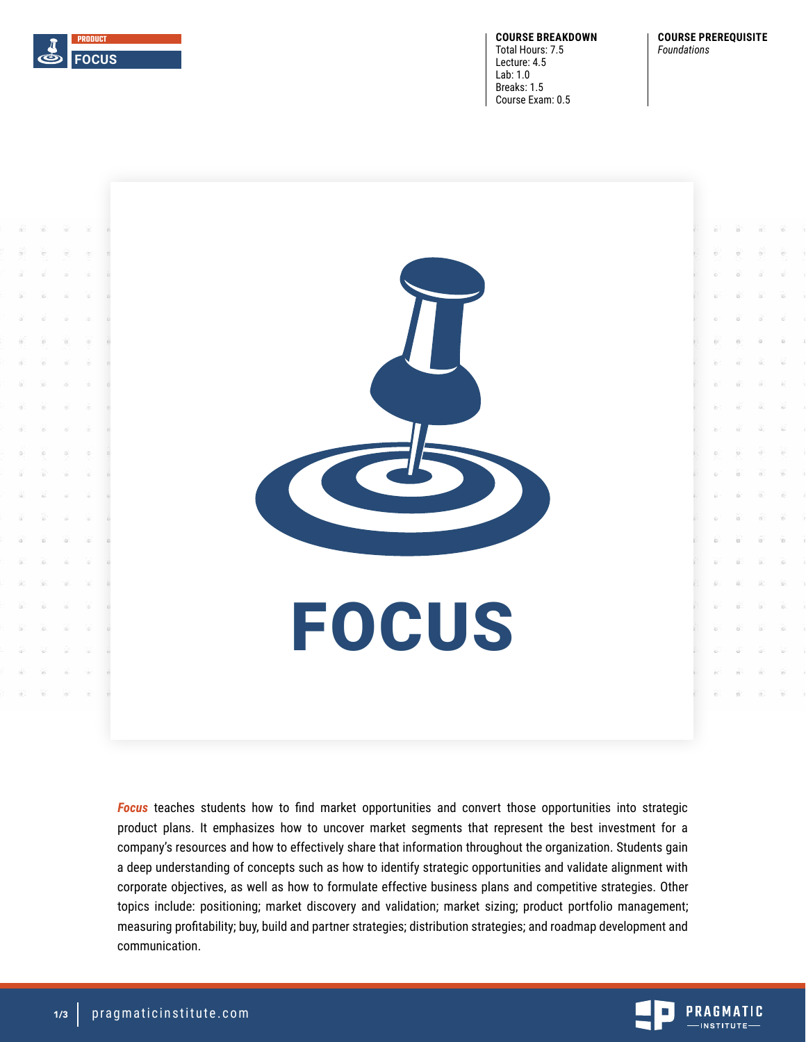

**COURSE BREAKDOWN** Total Hours: 7.5 Lecture: 4.5 Lab: 1.0 Breaks: 1.5 Course Exam: 0.5

#### **COURSE PREREQUISITE** *Foundations*



*Focus* teaches students how to find market opportunities and convert those opportunities into strategic product plans. It emphasizes how to uncover market segments that represent the best investment for a company's resources and how to effectively share that information throughout the organization. Students gain a deep understanding of concepts such as how to identify strategic opportunities and validate alignment with corporate objectives, as well as how to formulate effective business plans and competitive strategies. Other topics include: positioning; market discovery and validation; market sizing; product portfolio management; measuring profitability; buy, build and partner strategies; distribution strategies; and roadmap development and communication.

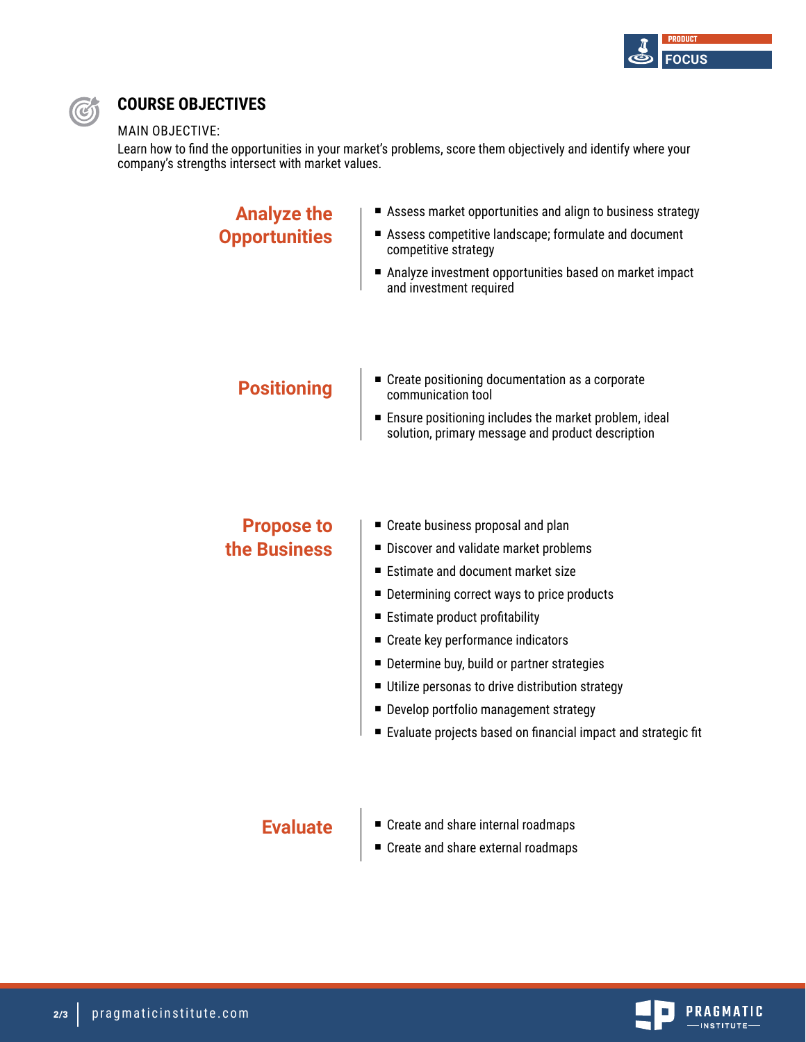



## **COURSE OBJECTIVES**

### MAIN OBJECTIVE:

Learn how to find the opportunities in your market's problems, score them objectively and identify where your company's strengths intersect with market values.

| <b>Analyze the</b>   | Assess market opportunities and align to business strategy                                                 |
|----------------------|------------------------------------------------------------------------------------------------------------|
| <b>Opportunities</b> | Assess competitive landscape; formulate and document<br>competitive strategy                               |
|                      | Analyze investment opportunities based on market impact<br>and investment required                         |
|                      |                                                                                                            |
| <b>Positioning</b>   | ■ Create positioning documentation as a corporate<br>communication tool                                    |
|                      | Ensure positioning includes the market problem, ideal<br>solution, primary message and product description |
|                      |                                                                                                            |
| <b>Propose to</b>    | ■ Create business proposal and plan                                                                        |
| the Business         | Discover and validate market problems                                                                      |
|                      | Estimate and document market size                                                                          |
|                      | ■ Determining correct ways to price products                                                               |
|                      | ■ Estimate product profitability                                                                           |
|                      | ■ Create key performance indicators                                                                        |
|                      | ■ Determine buy, build or partner strategies                                                               |
|                      | Utilize personas to drive distribution strategy                                                            |
|                      | Develop portfolio management strategy                                                                      |
|                      | ■ Evaluate projects based on financial impact and strategic fit                                            |
|                      |                                                                                                            |
|                      |                                                                                                            |

# **Evaluate**

- Create and share internal roadmaps
- Create and share external roadmaps